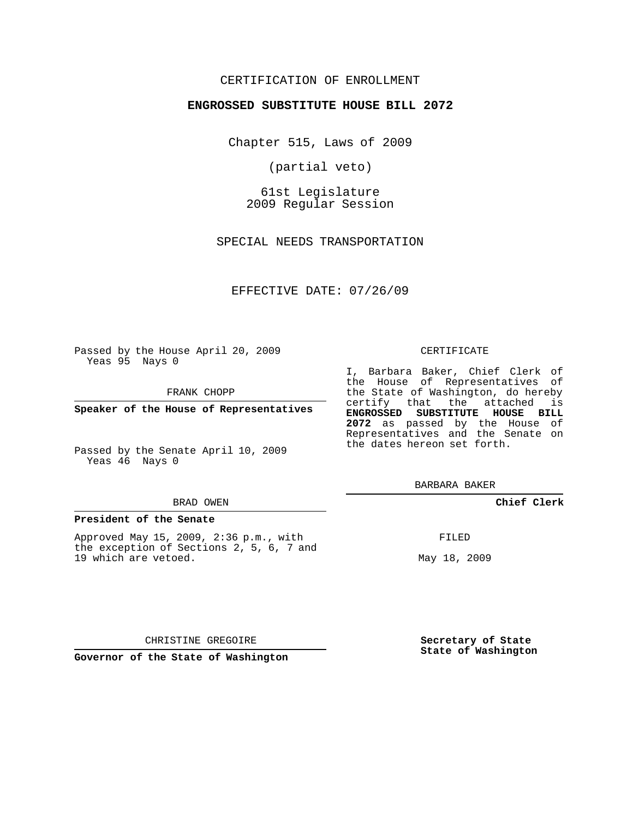# CERTIFICATION OF ENROLLMENT

## **ENGROSSED SUBSTITUTE HOUSE BILL 2072**

Chapter 515, Laws of 2009

(partial veto)

61st Legislature 2009 Regular Session

SPECIAL NEEDS TRANSPORTATION

EFFECTIVE DATE: 07/26/09

Passed by the House April 20, 2009 Yeas 95 Nays 0

FRANK CHOPP

**Speaker of the House of Representatives**

Passed by the Senate April 10, 2009 Yeas 46 Nays 0

#### BRAD OWEN

### **President of the Senate**

Approved May 15, 2009, 2:36 p.m., with the exception of Sections 2, 5, 6, 7 and 19 which are vetoed.

#### CERTIFICATE

I, Barbara Baker, Chief Clerk of the House of Representatives of the State of Washington, do hereby certify that the attached is **ENGROSSED SUBSTITUTE HOUSE BILL 2072** as passed by the House of Representatives and the Senate on the dates hereon set forth.

BARBARA BAKER

**Chief Clerk**

FILED

May 18, 2009

CHRISTINE GREGOIRE

**Governor of the State of Washington**

**Secretary of State State of Washington**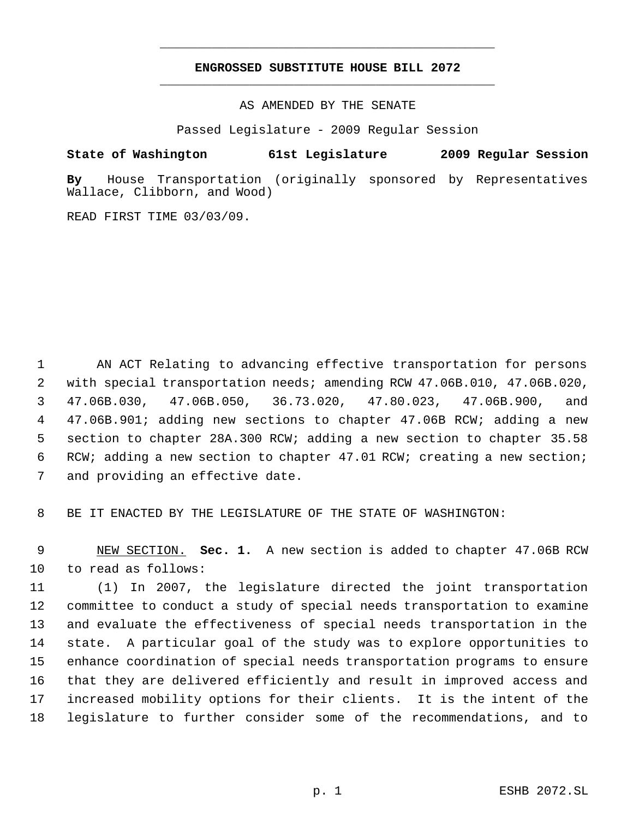# **ENGROSSED SUBSTITUTE HOUSE BILL 2072** \_\_\_\_\_\_\_\_\_\_\_\_\_\_\_\_\_\_\_\_\_\_\_\_\_\_\_\_\_\_\_\_\_\_\_\_\_\_\_\_\_\_\_\_\_

\_\_\_\_\_\_\_\_\_\_\_\_\_\_\_\_\_\_\_\_\_\_\_\_\_\_\_\_\_\_\_\_\_\_\_\_\_\_\_\_\_\_\_\_\_

AS AMENDED BY THE SENATE

Passed Legislature - 2009 Regular Session

**State of Washington 61st Legislature 2009 Regular Session**

**By** House Transportation (originally sponsored by Representatives Wallace, Clibborn, and Wood)

READ FIRST TIME 03/03/09.

 AN ACT Relating to advancing effective transportation for persons with special transportation needs; amending RCW 47.06B.010, 47.06B.020, 47.06B.030, 47.06B.050, 36.73.020, 47.80.023, 47.06B.900, and 47.06B.901; adding new sections to chapter 47.06B RCW; adding a new section to chapter 28A.300 RCW; adding a new section to chapter 35.58 RCW; adding a new section to chapter 47.01 RCW; creating a new section; and providing an effective date.

BE IT ENACTED BY THE LEGISLATURE OF THE STATE OF WASHINGTON:

 NEW SECTION. **Sec. 1.** A new section is added to chapter 47.06B RCW to read as follows:

 (1) In 2007, the legislature directed the joint transportation committee to conduct a study of special needs transportation to examine and evaluate the effectiveness of special needs transportation in the state. A particular goal of the study was to explore opportunities to enhance coordination of special needs transportation programs to ensure that they are delivered efficiently and result in improved access and increased mobility options for their clients. It is the intent of the legislature to further consider some of the recommendations, and to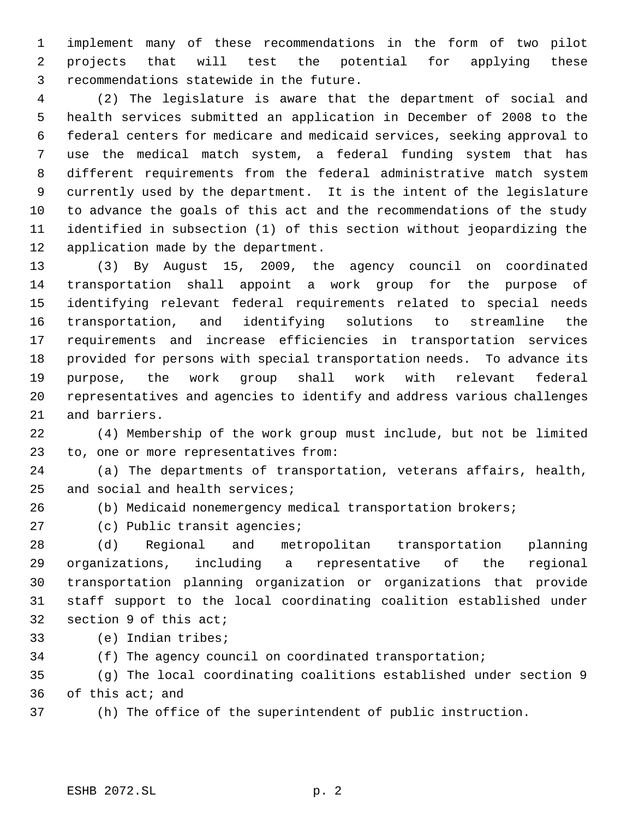implement many of these recommendations in the form of two pilot projects that will test the potential for applying these recommendations statewide in the future.

 (2) The legislature is aware that the department of social and health services submitted an application in December of 2008 to the federal centers for medicare and medicaid services, seeking approval to use the medical match system, a federal funding system that has different requirements from the federal administrative match system currently used by the department. It is the intent of the legislature to advance the goals of this act and the recommendations of the study identified in subsection (1) of this section without jeopardizing the application made by the department.

 (3) By August 15, 2009, the agency council on coordinated transportation shall appoint a work group for the purpose of identifying relevant federal requirements related to special needs transportation, and identifying solutions to streamline the requirements and increase efficiencies in transportation services provided for persons with special transportation needs. To advance its purpose, the work group shall work with relevant federal representatives and agencies to identify and address various challenges and barriers.

 (4) Membership of the work group must include, but not be limited to, one or more representatives from:

 (a) The departments of transportation, veterans affairs, health, and social and health services;

(b) Medicaid nonemergency medical transportation brokers;

(c) Public transit agencies;

 (d) Regional and metropolitan transportation planning organizations, including a representative of the regional transportation planning organization or organizations that provide staff support to the local coordinating coalition established under section 9 of this act;

(e) Indian tribes;

(f) The agency council on coordinated transportation;

 (g) The local coordinating coalitions established under section 9 of this act; and

(h) The office of the superintendent of public instruction.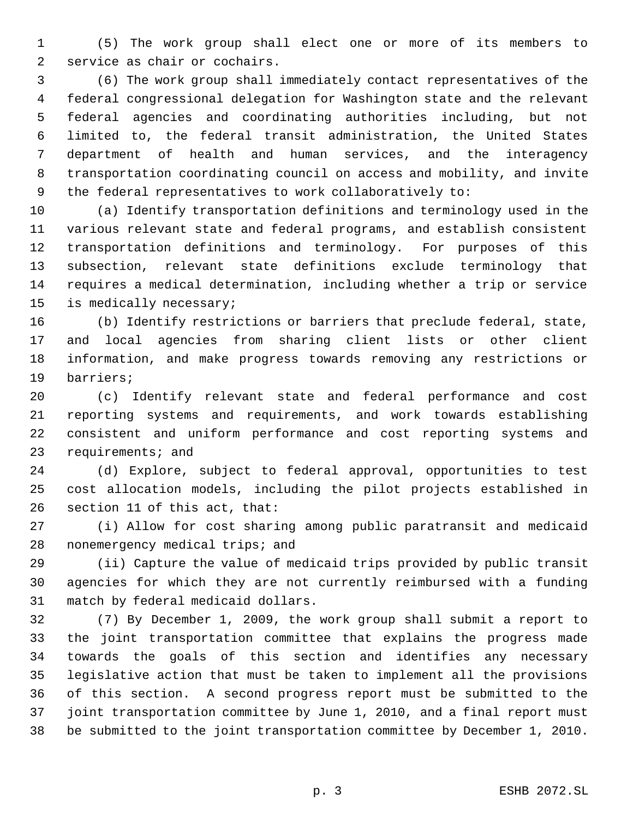(5) The work group shall elect one or more of its members to service as chair or cochairs.

 (6) The work group shall immediately contact representatives of the federal congressional delegation for Washington state and the relevant federal agencies and coordinating authorities including, but not limited to, the federal transit administration, the United States department of health and human services, and the interagency transportation coordinating council on access and mobility, and invite the federal representatives to work collaboratively to:

 (a) Identify transportation definitions and terminology used in the various relevant state and federal programs, and establish consistent transportation definitions and terminology. For purposes of this subsection, relevant state definitions exclude terminology that requires a medical determination, including whether a trip or service is medically necessary;

 (b) Identify restrictions or barriers that preclude federal, state, and local agencies from sharing client lists or other client information, and make progress towards removing any restrictions or barriers;

 (c) Identify relevant state and federal performance and cost reporting systems and requirements, and work towards establishing consistent and uniform performance and cost reporting systems and requirements; and

 (d) Explore, subject to federal approval, opportunities to test cost allocation models, including the pilot projects established in section 11 of this act, that:

 (i) Allow for cost sharing among public paratransit and medicaid 28 nonemergency medical trips; and

 (ii) Capture the value of medicaid trips provided by public transit agencies for which they are not currently reimbursed with a funding match by federal medicaid dollars.

 (7) By December 1, 2009, the work group shall submit a report to the joint transportation committee that explains the progress made towards the goals of this section and identifies any necessary legislative action that must be taken to implement all the provisions of this section. A second progress report must be submitted to the joint transportation committee by June 1, 2010, and a final report must be submitted to the joint transportation committee by December 1, 2010.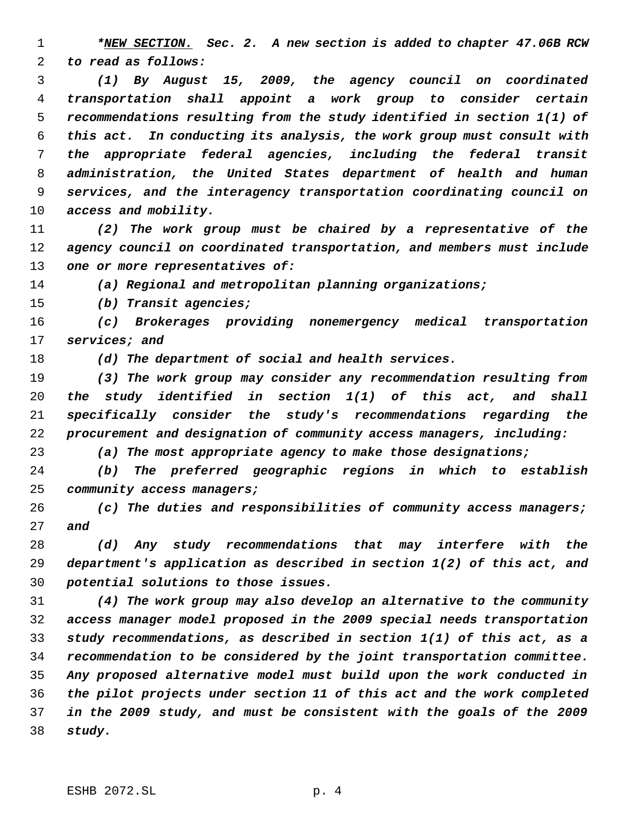*\*NEW SECTION. Sec. 2. A new section is added to chapter 47.06B RCW to read as follows:*

 *(1) By August 15, 2009, the agency council on coordinated transportation shall appoint a work group to consider certain recommendations resulting from the study identified in section 1(1) of this act. In conducting its analysis, the work group must consult with the appropriate federal agencies, including the federal transit administration, the United States department of health and human services, and the interagency transportation coordinating council on access and mobility.*

 *(2) The work group must be chaired by a representative of the agency council on coordinated transportation, and members must include one or more representatives of:*

*(a) Regional and metropolitan planning organizations;*

*(b) Transit agencies;*

 *(c) Brokerages providing nonemergency medical transportation services; and*

*(d) The department of social and health services.*

 *(3) The work group may consider any recommendation resulting from the study identified in section 1(1) of this act, and shall specifically consider the study's recommendations regarding the procurement and designation of community access managers, including:*

*(a) The most appropriate agency to make those designations;*

 *(b) The preferred geographic regions in which to establish community access managers;*

 *(c) The duties and responsibilities of community access managers; and*

 *(d) Any study recommendations that may interfere with the department's application as described in section 1(2) of this act, and potential solutions to those issues.*

 *(4) The work group may also develop an alternative to the community access manager model proposed in the 2009 special needs transportation study recommendations, as described in section 1(1) of this act, as a recommendation to be considered by the joint transportation committee. Any proposed alternative model must build upon the work conducted in the pilot projects under section 11 of this act and the work completed in the 2009 study, and must be consistent with the goals of the 2009 study.*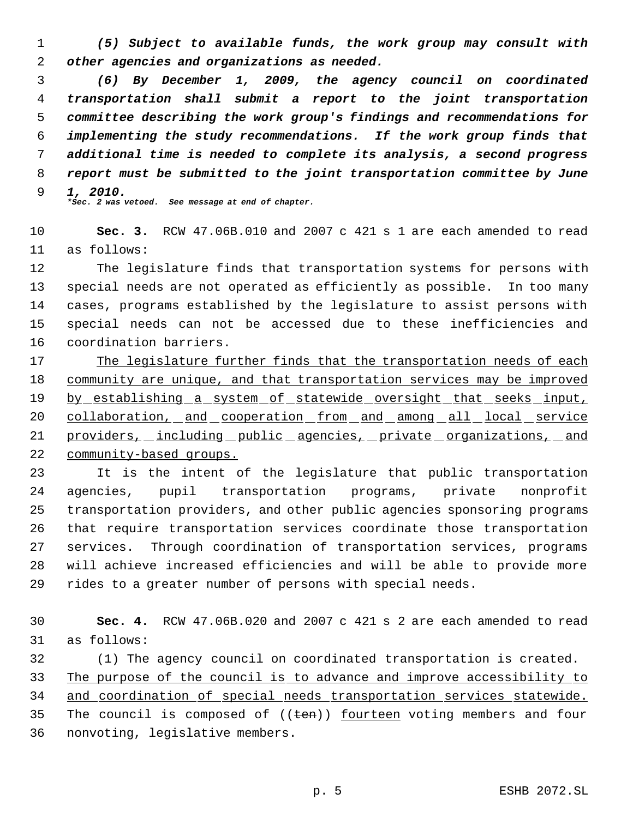*(5) Subject to available funds, the work group may consult with other agencies and organizations as needed.*

 *(6) By December 1, 2009, the agency council on coordinated transportation shall submit a report to the joint transportation committee describing the work group's findings and recommendations for implementing the study recommendations. If the work group finds that additional time is needed to complete its analysis, a second progress report must be submitted to the joint transportation committee by June 1, 2010.*

*\*Sec. 2 was vetoed. See message at end of chapter.*

 **Sec. 3.** RCW 47.06B.010 and 2007 c 421 s 1 are each amended to read as follows:

 The legislature finds that transportation systems for persons with special needs are not operated as efficiently as possible. In too many cases, programs established by the legislature to assist persons with special needs can not be accessed due to these inefficiencies and coordination barriers.

 The legislature further finds that the transportation needs of each community are unique, and that transportation services may be improved by establishing a system of statewide oversight that seeks input, 20 collaboration, and cooperation from and among all local service providers, including public agencies, private organizations, and community-based groups.

 It is the intent of the legislature that public transportation agencies, pupil transportation programs, private nonprofit transportation providers, and other public agencies sponsoring programs that require transportation services coordinate those transportation services. Through coordination of transportation services, programs will achieve increased efficiencies and will be able to provide more rides to a greater number of persons with special needs.

 **Sec. 4.** RCW 47.06B.020 and 2007 c 421 s 2 are each amended to read as follows:

 (1) The agency council on coordinated transportation is created. The purpose of the council is to advance and improve accessibility to and coordination of special needs transportation services statewide. 35 The council is composed of  $((\text{ten}))$  fourteen voting members and four nonvoting, legislative members.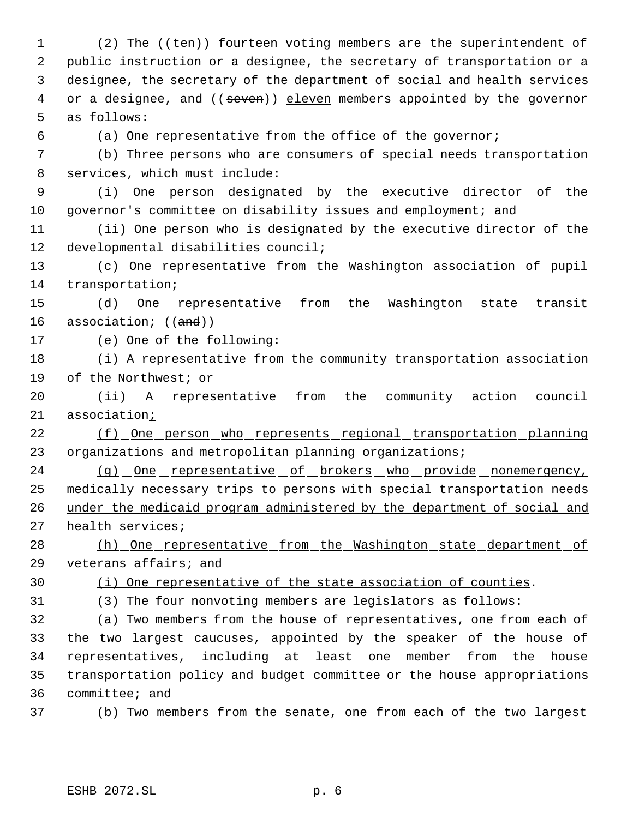1 (2) The ((ten)) <u>fourteen</u> voting members are the superintendent of public instruction or a designee, the secretary of transportation or a designee, the secretary of the department of social and health services 4 or a designee, and ((seven)) eleven members appointed by the governor as follows:

(a) One representative from the office of the governor;

 (b) Three persons who are consumers of special needs transportation services, which must include:

 (i) One person designated by the executive director of the governor's committee on disability issues and employment; and

 (ii) One person who is designated by the executive director of the developmental disabilities council;

 (c) One representative from the Washington association of pupil transportation;

 (d) One representative from the Washington state transit 16 association; ((and))

(e) One of the following:

 (i) A representative from the community transportation association of the Northwest; or

 (ii) A representative from the community action council 21 association<sub>i</sub>

22 (f) One person who represents regional transportation planning organizations and metropolitan planning organizations;

24 (g) One representative of brokers who provide nonemergency, medically necessary trips to persons with special transportation needs under the medicaid program administered by the department of social and 27 health services;

28 (h) One representative from the Washington state department of veterans affairs; and

(i) One representative of the state association of counties.

(3) The four nonvoting members are legislators as follows:

 (a) Two members from the house of representatives, one from each of the two largest caucuses, appointed by the speaker of the house of representatives, including at least one member from the house transportation policy and budget committee or the house appropriations committee; and

(b) Two members from the senate, one from each of the two largest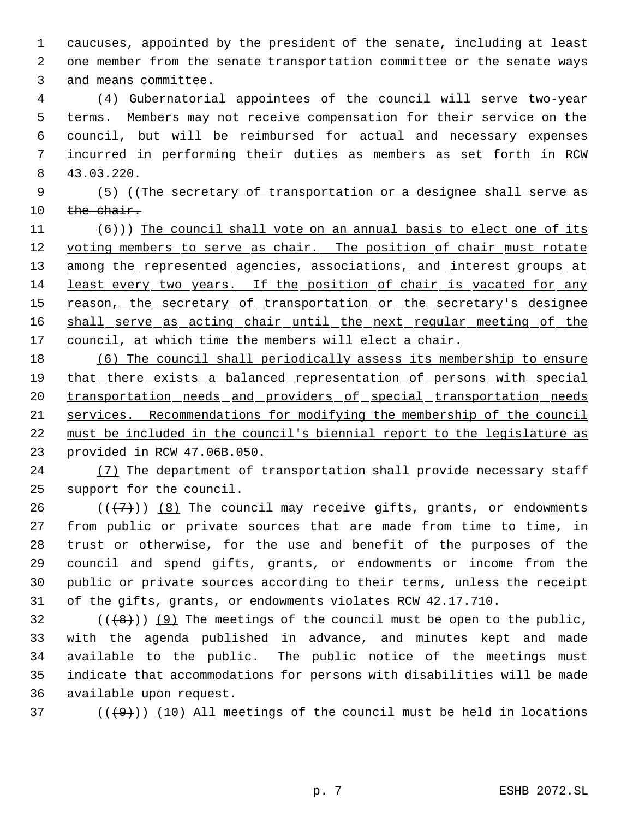caucuses, appointed by the president of the senate, including at least one member from the senate transportation committee or the senate ways and means committee.

 (4) Gubernatorial appointees of the council will serve two-year terms. Members may not receive compensation for their service on the council, but will be reimbursed for actual and necessary expenses incurred in performing their duties as members as set forth in RCW 43.03.220.

9 (5) ((The secretary of transportation or a designee shall serve as 10 the chair.

11  $(6)$ )) The council shall vote on an annual basis to elect one of its 12 voting members to serve as chair. The position of chair must rotate 13 among the represented agencies, associations, and interest groups at least every two years. If the position of chair is vacated for any 15 reason, the secretary of transportation or the secretary's designee 16 shall serve as acting chair until the next regular meeting of the 17 council, at which time the members will elect a chair.

 (6) The council shall periodically assess its membership to ensure 19 that there exists a balanced representation of persons with special 20 transportation needs and providers of special transportation needs services. Recommendations for modifying the membership of the council must be included in the council's biennial report to the legislature as provided in RCW 47.06B.050.

24 (7) The department of transportation shall provide necessary staff support for the council.

26 ( $(\overline{+7})$ ) (8) The council may receive gifts, grants, or endowments from public or private sources that are made from time to time, in trust or otherwise, for the use and benefit of the purposes of the council and spend gifts, grants, or endowments or income from the public or private sources according to their terms, unless the receipt of the gifts, grants, or endowments violates RCW 42.17.710.

 $(1 + 8)$ ) (9) The meetings of the council must be open to the public, with the agenda published in advance, and minutes kept and made available to the public. The public notice of the meetings must indicate that accommodations for persons with disabilities will be made available upon request.

37 ( $(\frac{49}{10})$  (10) All meetings of the council must be held in locations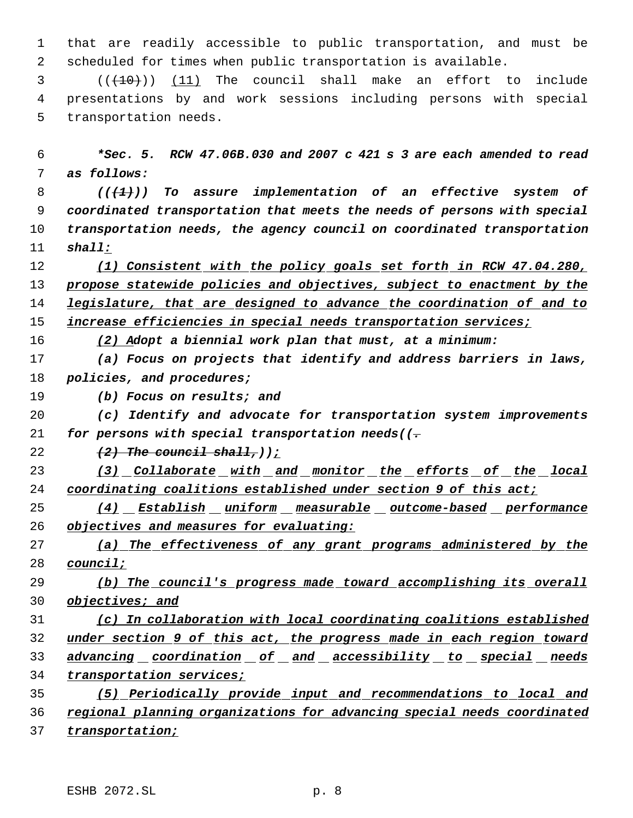that are readily accessible to public transportation, and must be scheduled for times when public transportation is available.

  $((+10))$  (11) The council shall make an effort to include presentations by and work sessions including persons with special transportation needs.

 *\*Sec. 5. RCW 47.06B.030 and 2007 c 421 s 3 are each amended to read as follows:*

 *(((1))) To assure implementation of an effective system of coordinated transportation that meets the needs of persons with special transportation needs, the agency council on coordinated transportation shall:*

 *(1) Consistent with the policy goals set forth in RCW 47.04.280, propose statewide policies and objectives, subject to enactment by the legislature, that are designed to advance the coordination of and to increase efficiencies in special needs transportation services;*

*(2) Adopt a biennial work plan that must, at a minimum:*

 *(a) Focus on projects that identify and address barriers in laws, policies, and procedures;*

*(b) Focus on results; and*

 *(c) Identify and advocate for transportation system improvements for persons with special transportation needs((.*

*(2) The council shall,));*

 *(3) Collaborate with and monitor the efforts of the local coordinating coalitions established under section 9 of this act;*

 *(4) Establish uniform measurable outcome-based performance objectives and measures for evaluating:*

 *(a) The effectiveness of any grant programs administered by the council;*

 *(b) The council's progress made toward accomplishing its overall objectives; and*

 *(c) In collaboration with local coordinating coalitions established under section 9 of this act, the progress made in each region toward advancing coordination of and accessibility to special needs transportation services;*

 *(5) Periodically provide input and recommendations to local and regional planning organizations for advancing special needs coordinated transportation;*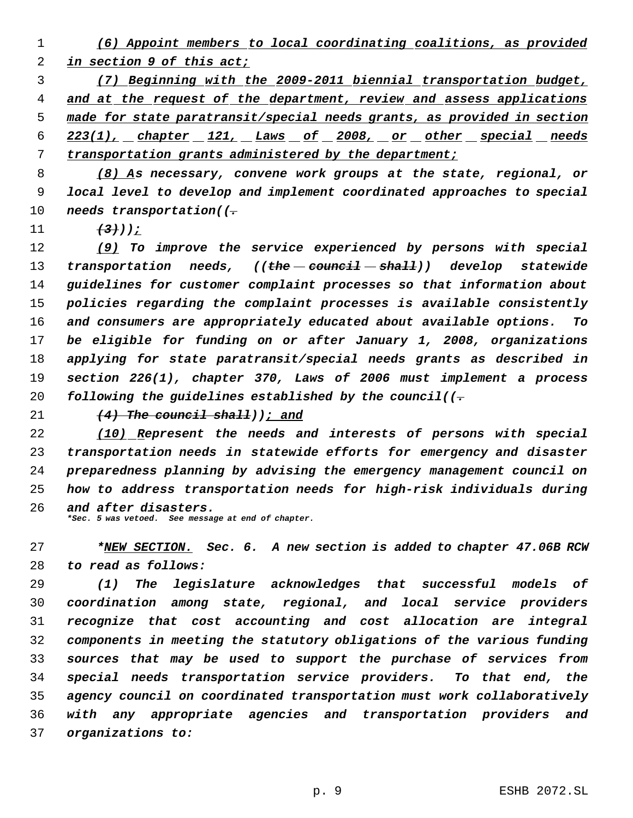*(6) Appoint members to local coordinating coalitions, as provided in section 9 of this act;*

 *(7) Beginning with the 2009-2011 biennial transportation budget, and at the request of the department, review and assess applications made for state paratransit/special needs grants, as provided in section 223(1), chapter 121, Laws of 2008, or other special needs transportation grants administered by the department;*

 *(8) As necessary, convene work groups at the state, regional, or local level to develop and implement coordinated approaches to special needs transportation((.*

*(3)));*

 *(9) To improve the service experienced by persons with special transportation needs, ((the council shall)) develop statewide guidelines for customer complaint processes so that information about policies regarding the complaint processes is available consistently and consumers are appropriately educated about available options. To be eligible for funding on or after January 1, 2008, organizations applying for state paratransit/special needs grants as described in section 226(1), chapter 370, Laws of 2006 must implement a process following the guidelines established by the council((.*

*(4) The council shall)); and*

 *(10) Represent the needs and interests of persons with special transportation needs in statewide efforts for emergency and disaster preparedness planning by advising the emergency management council on how to address transportation needs for high-risk individuals during and after disasters.*

*\*Sec. 5 was vetoed. See message at end of chapter.*

 *\*NEW SECTION. Sec. 6. A new section is added to chapter 47.06B RCW to read as follows:*

 *(1) The legislature acknowledges that successful models of coordination among state, regional, and local service providers recognize that cost accounting and cost allocation are integral components in meeting the statutory obligations of the various funding sources that may be used to support the purchase of services from special needs transportation service providers. To that end, the agency council on coordinated transportation must work collaboratively with any appropriate agencies and transportation providers and organizations to:*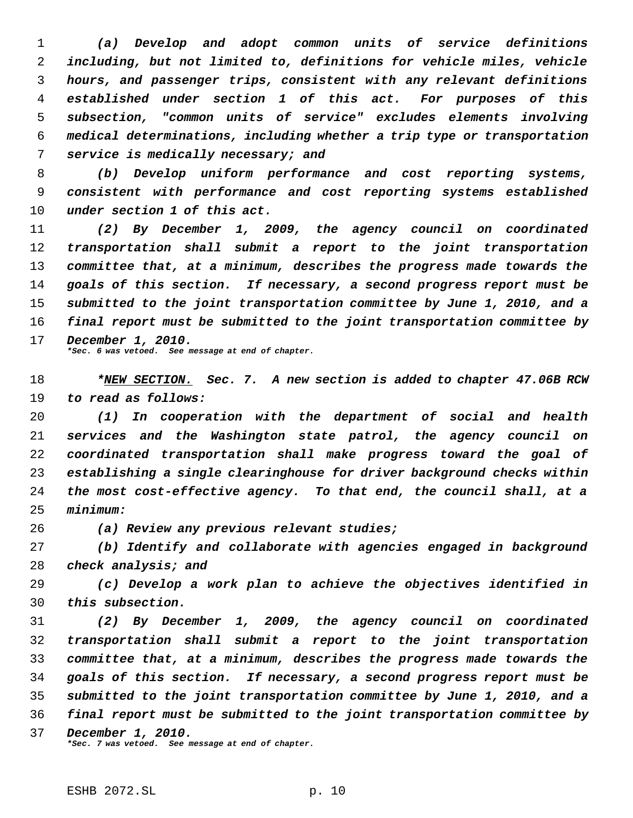*(a) Develop and adopt common units of service definitions including, but not limited to, definitions for vehicle miles, vehicle hours, and passenger trips, consistent with any relevant definitions established under section 1 of this act. For purposes of this subsection, "common units of service" excludes elements involving medical determinations, including whether a trip type or transportation service is medically necessary; and*

 *(b) Develop uniform performance and cost reporting systems, consistent with performance and cost reporting systems established under section 1 of this act.*

 *(2) By December 1, 2009, the agency council on coordinated transportation shall submit a report to the joint transportation committee that, at a minimum, describes the progress made towards the goals of this section. If necessary, a second progress report must be submitted to the joint transportation committee by June 1, 2010, and a final report must be submitted to the joint transportation committee by December 1, 2010.*

*\*Sec. 6 was vetoed. See message at end of chapter.*

 *\*NEW SECTION. Sec. 7. A new section is added to chapter 47.06B RCW to read as follows:*

 *(1) In cooperation with the department of social and health services and the Washington state patrol, the agency council on coordinated transportation shall make progress toward the goal of establishing a single clearinghouse for driver background checks within the most cost-effective agency. To that end, the council shall, at a minimum:*

*(a) Review any previous relevant studies;*

 *(b) Identify and collaborate with agencies engaged in background check analysis; and*

 *(c) Develop a work plan to achieve the objectives identified in this subsection.*

 *(2) By December 1, 2009, the agency council on coordinated transportation shall submit a report to the joint transportation committee that, at a minimum, describes the progress made towards the goals of this section. If necessary, a second progress report must be submitted to the joint transportation committee by June 1, 2010, and a final report must be submitted to the joint transportation committee by December 1, 2010. \*Sec. 7 was vetoed. See message at end of chapter.*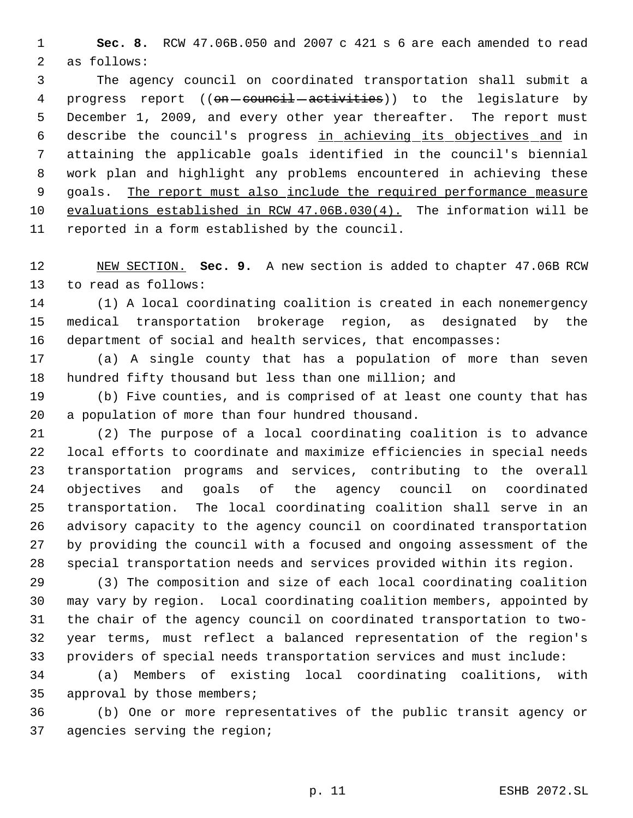**Sec. 8.** RCW 47.06B.050 and 2007 c 421 s 6 are each amended to read as follows:

 The agency council on coordinated transportation shall submit a 4 progress report ((on-council-activities)) to the legislature by December 1, 2009, and every other year thereafter. The report must describe the council's progress in achieving its objectives and in attaining the applicable goals identified in the council's biennial work plan and highlight any problems encountered in achieving these 9 goals. The report must also include the required performance measure evaluations established in RCW 47.06B.030(4). The information will be reported in a form established by the council.

 NEW SECTION. **Sec. 9.** A new section is added to chapter 47.06B RCW to read as follows:

 (1) A local coordinating coalition is created in each nonemergency medical transportation brokerage region, as designated by the department of social and health services, that encompasses:

 (a) A single county that has a population of more than seven 18 hundred fifty thousand but less than one million; and

 (b) Five counties, and is comprised of at least one county that has a population of more than four hundred thousand.

 (2) The purpose of a local coordinating coalition is to advance local efforts to coordinate and maximize efficiencies in special needs transportation programs and services, contributing to the overall objectives and goals of the agency council on coordinated transportation. The local coordinating coalition shall serve in an advisory capacity to the agency council on coordinated transportation by providing the council with a focused and ongoing assessment of the special transportation needs and services provided within its region.

 (3) The composition and size of each local coordinating coalition may vary by region. Local coordinating coalition members, appointed by the chair of the agency council on coordinated transportation to two- year terms, must reflect a balanced representation of the region's providers of special needs transportation services and must include:

 (a) Members of existing local coordinating coalitions, with approval by those members;

 (b) One or more representatives of the public transit agency or agencies serving the region;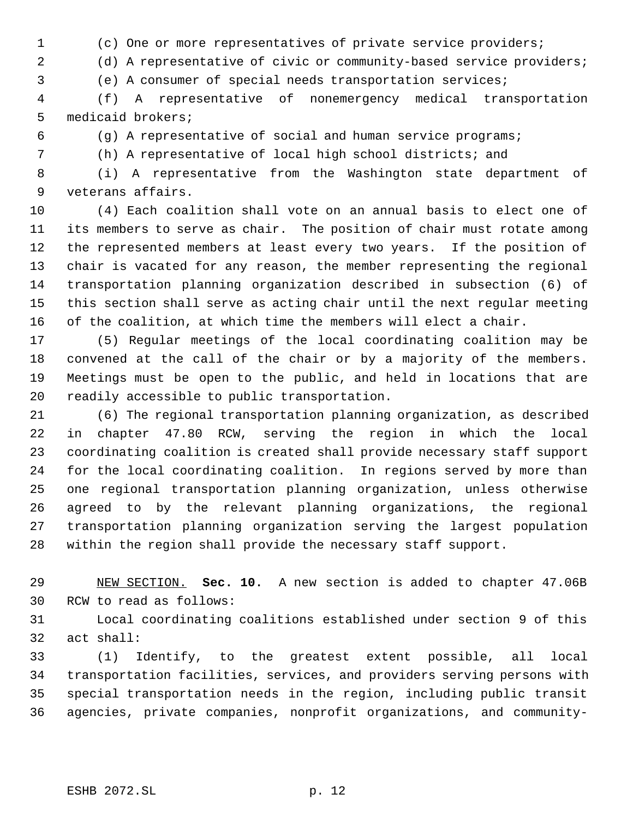(c) One or more representatives of private service providers;

(d) A representative of civic or community-based service providers;

(e) A consumer of special needs transportation services;

 (f) A representative of nonemergency medical transportation medicaid brokers;

(g) A representative of social and human service programs;

(h) A representative of local high school districts; and

 (i) A representative from the Washington state department of veterans affairs.

 (4) Each coalition shall vote on an annual basis to elect one of its members to serve as chair. The position of chair must rotate among the represented members at least every two years. If the position of chair is vacated for any reason, the member representing the regional transportation planning organization described in subsection (6) of this section shall serve as acting chair until the next regular meeting of the coalition, at which time the members will elect a chair.

 (5) Regular meetings of the local coordinating coalition may be convened at the call of the chair or by a majority of the members. Meetings must be open to the public, and held in locations that are readily accessible to public transportation.

 (6) The regional transportation planning organization, as described in chapter 47.80 RCW, serving the region in which the local coordinating coalition is created shall provide necessary staff support for the local coordinating coalition. In regions served by more than one regional transportation planning organization, unless otherwise agreed to by the relevant planning organizations, the regional transportation planning organization serving the largest population within the region shall provide the necessary staff support.

 NEW SECTION. **Sec. 10.** A new section is added to chapter 47.06B RCW to read as follows:

 Local coordinating coalitions established under section 9 of this act shall:

 (1) Identify, to the greatest extent possible, all local transportation facilities, services, and providers serving persons with special transportation needs in the region, including public transit agencies, private companies, nonprofit organizations, and community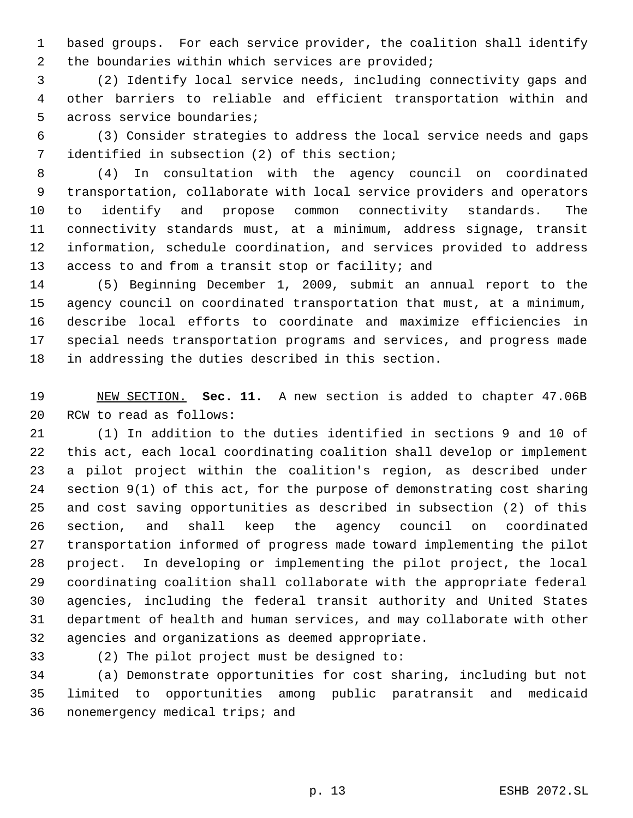based groups. For each service provider, the coalition shall identify the boundaries within which services are provided;

 (2) Identify local service needs, including connectivity gaps and other barriers to reliable and efficient transportation within and across service boundaries;

 (3) Consider strategies to address the local service needs and gaps identified in subsection (2) of this section;

 (4) In consultation with the agency council on coordinated transportation, collaborate with local service providers and operators to identify and propose common connectivity standards. The connectivity standards must, at a minimum, address signage, transit information, schedule coordination, and services provided to address 13 access to and from a transit stop or facility; and

 (5) Beginning December 1, 2009, submit an annual report to the agency council on coordinated transportation that must, at a minimum, describe local efforts to coordinate and maximize efficiencies in special needs transportation programs and services, and progress made in addressing the duties described in this section.

 NEW SECTION. **Sec. 11.** A new section is added to chapter 47.06B RCW to read as follows:

 (1) In addition to the duties identified in sections 9 and 10 of this act, each local coordinating coalition shall develop or implement a pilot project within the coalition's region, as described under section 9(1) of this act, for the purpose of demonstrating cost sharing and cost saving opportunities as described in subsection (2) of this section, and shall keep the agency council on coordinated transportation informed of progress made toward implementing the pilot project. In developing or implementing the pilot project, the local coordinating coalition shall collaborate with the appropriate federal agencies, including the federal transit authority and United States department of health and human services, and may collaborate with other agencies and organizations as deemed appropriate.

(2) The pilot project must be designed to:

 (a) Demonstrate opportunities for cost sharing, including but not limited to opportunities among public paratransit and medicaid nonemergency medical trips; and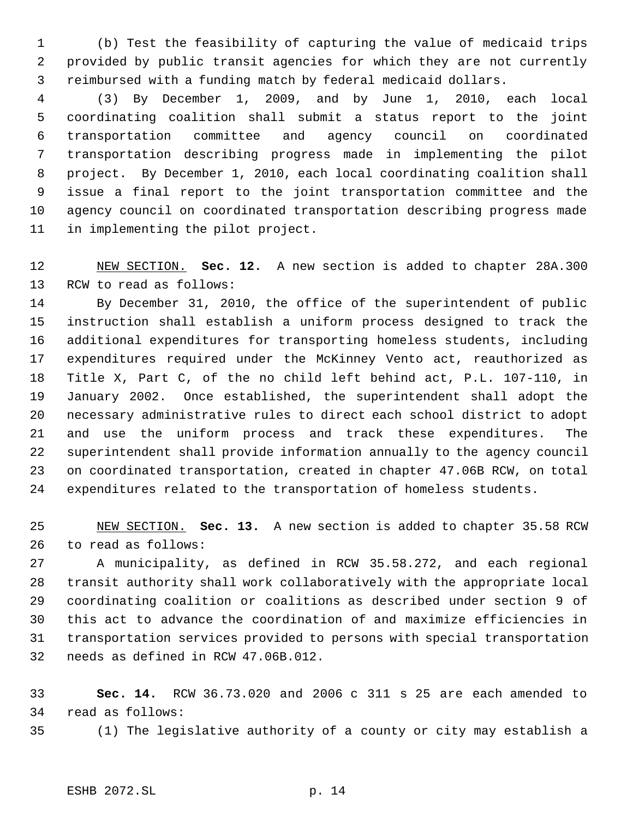(b) Test the feasibility of capturing the value of medicaid trips provided by public transit agencies for which they are not currently reimbursed with a funding match by federal medicaid dollars.

 (3) By December 1, 2009, and by June 1, 2010, each local coordinating coalition shall submit a status report to the joint transportation committee and agency council on coordinated transportation describing progress made in implementing the pilot project. By December 1, 2010, each local coordinating coalition shall issue a final report to the joint transportation committee and the agency council on coordinated transportation describing progress made in implementing the pilot project.

 NEW SECTION. **Sec. 12.** A new section is added to chapter 28A.300 RCW to read as follows:

 By December 31, 2010, the office of the superintendent of public instruction shall establish a uniform process designed to track the additional expenditures for transporting homeless students, including expenditures required under the McKinney Vento act, reauthorized as Title X, Part C, of the no child left behind act, P.L. 107-110, in January 2002. Once established, the superintendent shall adopt the necessary administrative rules to direct each school district to adopt and use the uniform process and track these expenditures. The superintendent shall provide information annually to the agency council on coordinated transportation, created in chapter 47.06B RCW, on total expenditures related to the transportation of homeless students.

 NEW SECTION. **Sec. 13.** A new section is added to chapter 35.58 RCW to read as follows:

 A municipality, as defined in RCW 35.58.272, and each regional transit authority shall work collaboratively with the appropriate local coordinating coalition or coalitions as described under section 9 of this act to advance the coordination of and maximize efficiencies in transportation services provided to persons with special transportation needs as defined in RCW 47.06B.012.

 **Sec. 14.** RCW 36.73.020 and 2006 c 311 s 25 are each amended to read as follows:

(1) The legislative authority of a county or city may establish a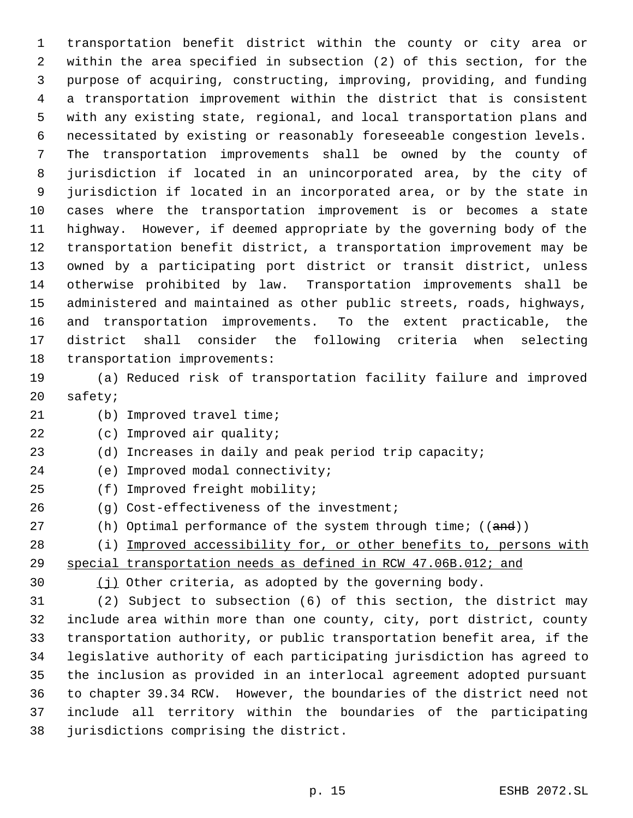transportation benefit district within the county or city area or within the area specified in subsection (2) of this section, for the purpose of acquiring, constructing, improving, providing, and funding a transportation improvement within the district that is consistent with any existing state, regional, and local transportation plans and necessitated by existing or reasonably foreseeable congestion levels. The transportation improvements shall be owned by the county of jurisdiction if located in an unincorporated area, by the city of jurisdiction if located in an incorporated area, or by the state in cases where the transportation improvement is or becomes a state highway. However, if deemed appropriate by the governing body of the transportation benefit district, a transportation improvement may be owned by a participating port district or transit district, unless otherwise prohibited by law. Transportation improvements shall be administered and maintained as other public streets, roads, highways, and transportation improvements. To the extent practicable, the district shall consider the following criteria when selecting transportation improvements:

 (a) Reduced risk of transportation facility failure and improved safety;

- (b) Improved travel time;
- (c) Improved air quality;
- (d) Increases in daily and peak period trip capacity;
- (e) Improved modal connectivity;
- (f) Improved freight mobility;
- (g) Cost-effectiveness of the investment;
- 27 (h) Optimal performance of the system through time; ((and))
- 28 (i) Improved accessibility for, or other benefits to, persons with special transportation needs as defined in RCW 47.06B.012; and
- 

(j) Other criteria, as adopted by the governing body.

 (2) Subject to subsection (6) of this section, the district may include area within more than one county, city, port district, county transportation authority, or public transportation benefit area, if the legislative authority of each participating jurisdiction has agreed to the inclusion as provided in an interlocal agreement adopted pursuant to chapter 39.34 RCW. However, the boundaries of the district need not include all territory within the boundaries of the participating jurisdictions comprising the district.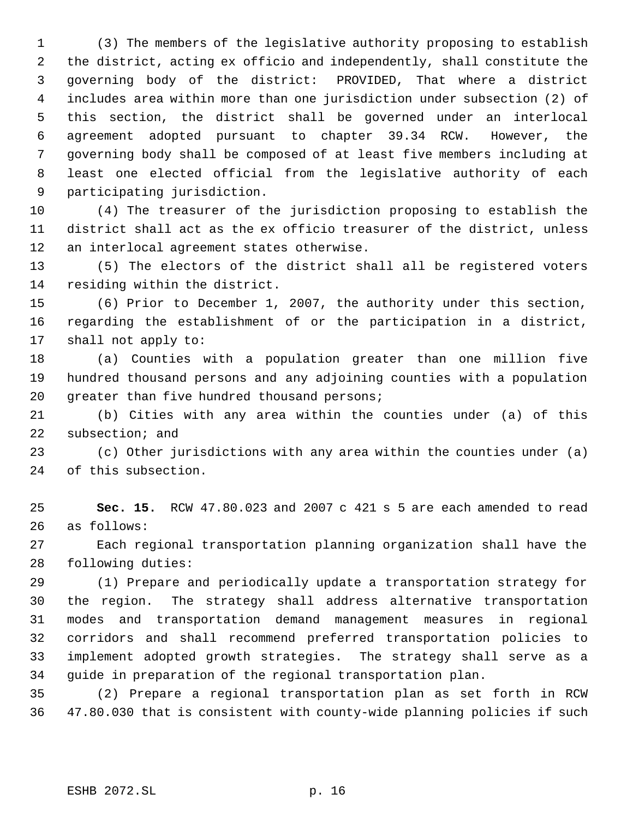(3) The members of the legislative authority proposing to establish the district, acting ex officio and independently, shall constitute the governing body of the district: PROVIDED, That where a district includes area within more than one jurisdiction under subsection (2) of this section, the district shall be governed under an interlocal agreement adopted pursuant to chapter 39.34 RCW. However, the governing body shall be composed of at least five members including at least one elected official from the legislative authority of each participating jurisdiction.

 (4) The treasurer of the jurisdiction proposing to establish the district shall act as the ex officio treasurer of the district, unless an interlocal agreement states otherwise.

 (5) The electors of the district shall all be registered voters residing within the district.

 (6) Prior to December 1, 2007, the authority under this section, regarding the establishment of or the participation in a district, shall not apply to:

 (a) Counties with a population greater than one million five hundred thousand persons and any adjoining counties with a population 20 greater than five hundred thousand persons;

 (b) Cities with any area within the counties under (a) of this subsection; and

 (c) Other jurisdictions with any area within the counties under (a) of this subsection.

 **Sec. 15.** RCW 47.80.023 and 2007 c 421 s 5 are each amended to read as follows:

 Each regional transportation planning organization shall have the following duties:

 (1) Prepare and periodically update a transportation strategy for the region. The strategy shall address alternative transportation modes and transportation demand management measures in regional corridors and shall recommend preferred transportation policies to implement adopted growth strategies. The strategy shall serve as a guide in preparation of the regional transportation plan.

 (2) Prepare a regional transportation plan as set forth in RCW 47.80.030 that is consistent with county-wide planning policies if such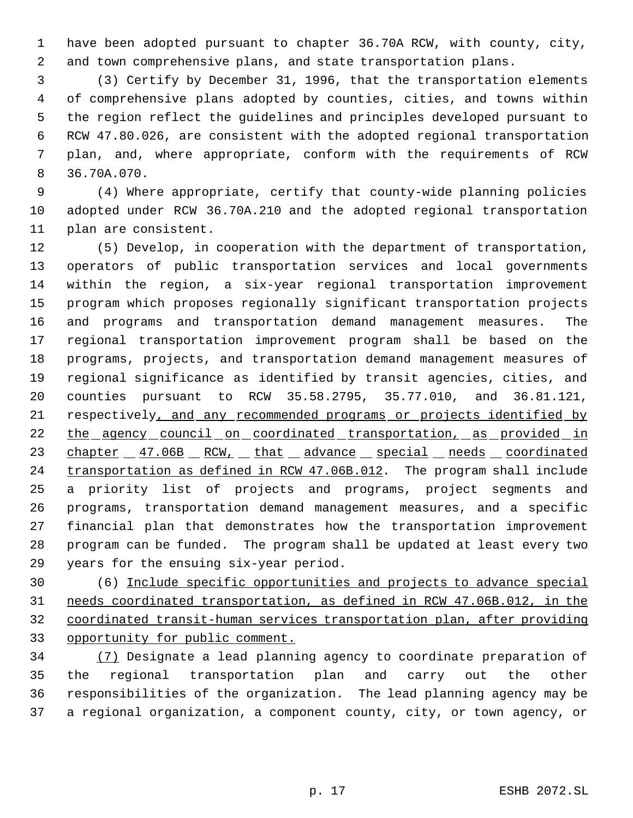have been adopted pursuant to chapter 36.70A RCW, with county, city, and town comprehensive plans, and state transportation plans.

 (3) Certify by December 31, 1996, that the transportation elements of comprehensive plans adopted by counties, cities, and towns within the region reflect the guidelines and principles developed pursuant to RCW 47.80.026, are consistent with the adopted regional transportation plan, and, where appropriate, conform with the requirements of RCW 36.70A.070.

 (4) Where appropriate, certify that county-wide planning policies adopted under RCW 36.70A.210 and the adopted regional transportation plan are consistent.

 (5) Develop, in cooperation with the department of transportation, operators of public transportation services and local governments within the region, a six-year regional transportation improvement program which proposes regionally significant transportation projects and programs and transportation demand management measures. The regional transportation improvement program shall be based on the programs, projects, and transportation demand management measures of regional significance as identified by transit agencies, cities, and counties pursuant to RCW 35.58.2795, 35.77.010, and 36.81.121, respectively, and any recommended programs or projects identified by 22 the agency council on coordinated transportation, as provided in 23 chapter 47.06B RCW, that advance special needs coordinated 24 transportation as defined in RCW 47.06B.012. The program shall include a priority list of projects and programs, project segments and programs, transportation demand management measures, and a specific financial plan that demonstrates how the transportation improvement program can be funded. The program shall be updated at least every two years for the ensuing six-year period.

 (6) Include specific opportunities and projects to advance special needs coordinated transportation, as defined in RCW 47.06B.012, in the coordinated transit-human services transportation plan, after providing opportunity for public comment.

 (7) Designate a lead planning agency to coordinate preparation of the regional transportation plan and carry out the other responsibilities of the organization. The lead planning agency may be a regional organization, a component county, city, or town agency, or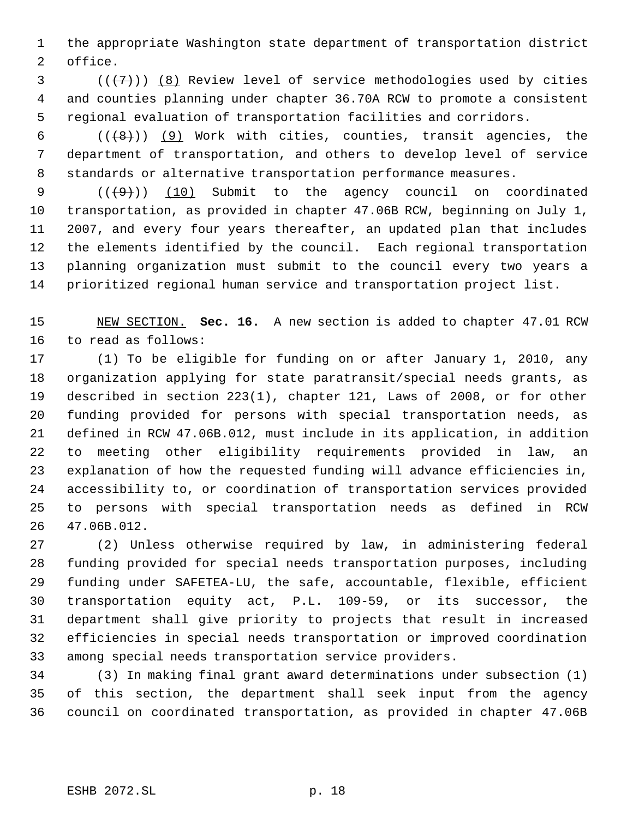the appropriate Washington state department of transportation district office.

 $(1, 2)$  ( $(1, 7)$ ) (8) Review level of service methodologies used by cities and counties planning under chapter 36.70A RCW to promote a consistent regional evaluation of transportation facilities and corridors.

6  $((+8))$  (9) Work with cities, counties, transit agencies, the department of transportation, and others to develop level of service standards or alternative transportation performance measures.

 $((+9))$   $(10)$  Submit to the agency council on coordinated transportation, as provided in chapter 47.06B RCW, beginning on July 1, 2007, and every four years thereafter, an updated plan that includes the elements identified by the council. Each regional transportation planning organization must submit to the council every two years a prioritized regional human service and transportation project list.

 NEW SECTION. **Sec. 16.** A new section is added to chapter 47.01 RCW to read as follows:

 (1) To be eligible for funding on or after January 1, 2010, any organization applying for state paratransit/special needs grants, as described in section 223(1), chapter 121, Laws of 2008, or for other funding provided for persons with special transportation needs, as defined in RCW 47.06B.012, must include in its application, in addition to meeting other eligibility requirements provided in law, an explanation of how the requested funding will advance efficiencies in, accessibility to, or coordination of transportation services provided to persons with special transportation needs as defined in RCW 47.06B.012.

 (2) Unless otherwise required by law, in administering federal funding provided for special needs transportation purposes, including funding under SAFETEA-LU, the safe, accountable, flexible, efficient transportation equity act, P.L. 109-59, or its successor, the department shall give priority to projects that result in increased efficiencies in special needs transportation or improved coordination among special needs transportation service providers.

 (3) In making final grant award determinations under subsection (1) of this section, the department shall seek input from the agency council on coordinated transportation, as provided in chapter 47.06B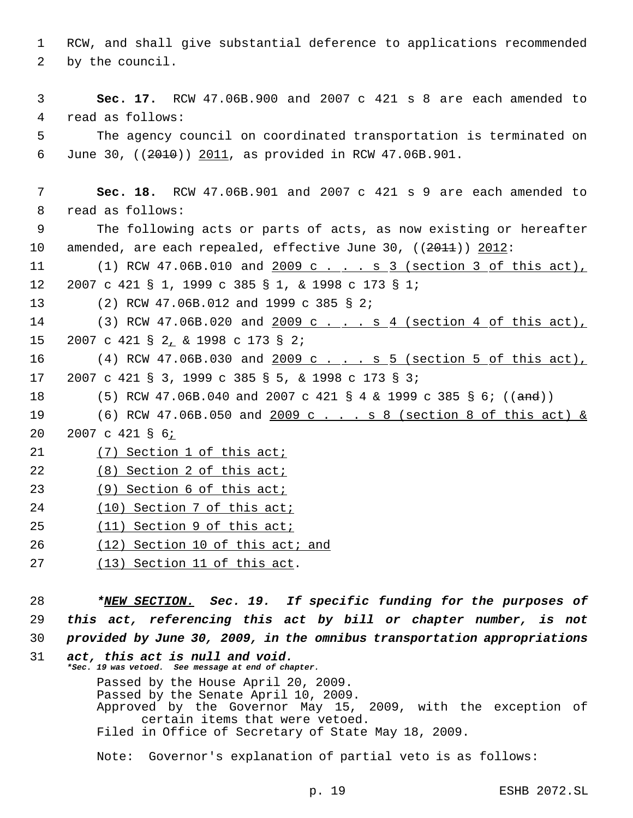1 RCW, and shall give substantial deference to applications recommended 2 by the council.

 3 **Sec. 17.** RCW 47.06B.900 and 2007 c 421 s 8 are each amended to 4 read as follows:

 5 The agency council on coordinated transportation is terminated on 6 June 30, ((2010)) 2011, as provided in RCW 47.06B.901.

 7 **Sec. 18.** RCW 47.06B.901 and 2007 c 421 s 9 are each amended to 8 read as follows:

 9 The following acts or parts of acts, as now existing or hereafter 10 amended, are each repealed, effective June 30,  $((2011)(2012))$ 

11 (1) RCW 47.06B.010 and 2009 c . . . s 3 (section 3 of this act), 12 2007 c 421 § 1, 1999 c 385 § 1, & 1998 c 173 § 1;

13 (2) RCW 47.06B.012 and 1999 c 385 § 2;

14 (3) RCW 47.06B.020 and 2009 c . . . s 4 (section 4 of this act), 15 2007 c 421 § 2, & 1998 c 173 § 2;

16 (4) RCW 47.06B.030 and 2009 c ... . s 5 (section 5 of this act), 17 2007 c 421 § 3, 1999 c 385 § 5, & 1998 c 173 § 3;

- 18 (5) RCW 47.06B.040 and 2007 c 421 § 4 & 1999 c 385 § 6; ((and))
- 19 (6) RCW 47.06B.050 and 2009 c . . . s 8 (section 8 of this act) &

20 2007 c 421 § 6;

21 (7) Section 1 of this act;

- 22 (8) Section 2 of this act;
- 23 (9) Section 6 of this act;
- 24 (10) Section 7 of this act;
- 25 (11) Section 9 of this act;
- 26 (12) Section 10 of this act; and
- 27 (13) Section 11 of this act.

28 *\*NEW SECTION. Sec. 19. If specific funding for the purposes of* 29 *this act, referencing this act by bill or chapter number, is not* 30 *provided by June 30, 2009, in the omnibus transportation appropriations*

```
31 act, this act is null and void.
*Sec. 19 was vetoed. See message at end of chapter.
    Passed by the House April 20, 2009.
    Passed by the Senate April 10, 2009.
    Approved by the Governor May 15, 2009, with the exception of
          certain items that were vetoed.
    Filed in Office of Secretary of State May 18, 2009.
```
Note: Governor's explanation of partial veto is as follows: